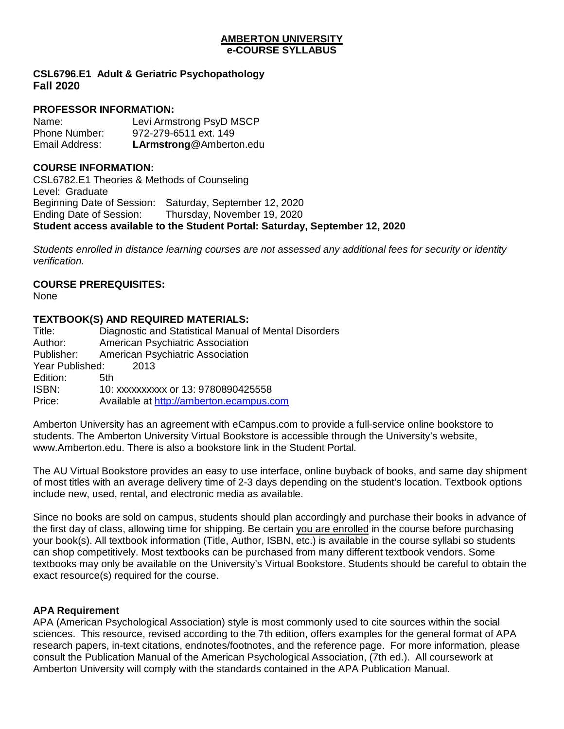### **AMBERTON UNIVERSITY e-COURSE SYLLABUS**

**CSL6796.E1 Adult & Geriatric Psychopathology Fall 2020**

## **PROFESSOR INFORMATION:**

Name: Levi Armstrong PsyD MSCP Phone Number: 972-279-6511 ext. 149 Email Address: **LArmstrong**@Amberton.edu

## **COURSE INFORMATION:**

CSL6782.E1 Theories & Methods of Counseling Level: Graduate Beginning Date of Session: Saturday, September 12, 2020 Ending Date of Session: Thursday, November 19, 2020 **Student access available to the Student Portal: Saturday, September 12, 2020**

*Students enrolled in distance learning courses are not assessed any additional fees for security or identity verification.*

## **COURSE PREREQUISITES:**

None

## **TEXTBOOK(S) AND REQUIRED MATERIALS:**

| Title:          | Diagnostic and Statistical Manual of Mental Disorders |  |  |  |
|-----------------|-------------------------------------------------------|--|--|--|
| Author:         | American Psychiatric Association                      |  |  |  |
| Publisher:      | American Psychiatric Association                      |  |  |  |
| Year Published: | -2013                                                 |  |  |  |
| Edition:        | 5th                                                   |  |  |  |
| ISBN:           | 10: xxxxxxxxx or 13: 9780890425558                    |  |  |  |
| Price:          | Available at http://amberton.ecampus.com              |  |  |  |
|                 |                                                       |  |  |  |

Amberton University has an agreement with eCampus.com to provide a full-service online bookstore to students. The Amberton University Virtual Bookstore is accessible through the University's website, www.Amberton.edu. There is also a bookstore link in the Student Portal.

The AU Virtual Bookstore provides an easy to use interface, online buyback of books, and same day shipment of most titles with an average delivery time of 2-3 days depending on the student's location. Textbook options include new, used, rental, and electronic media as available.

Since no books are sold on campus, students should plan accordingly and purchase their books in advance of the first day of class, allowing time for shipping. Be certain you are enrolled in the course before purchasing your book(s). All textbook information (Title, Author, ISBN, etc.) is available in the course syllabi so students can shop competitively. Most textbooks can be purchased from many different textbook vendors. Some textbooks may only be available on the University's Virtual Bookstore. Students should be careful to obtain the exact resource(s) required for the course.

## **APA Requirement**

APA (American Psychological Association) style is most commonly used to cite sources within the social sciences. This resource, revised according to the 7th edition, offers examples for the general format of APA research papers, in-text citations, endnotes/footnotes, and the reference page. For more information, please consult the Publication Manual of the American Psychological Association, (7th ed.). All coursework at Amberton University will comply with the standards contained in the APA Publication Manual.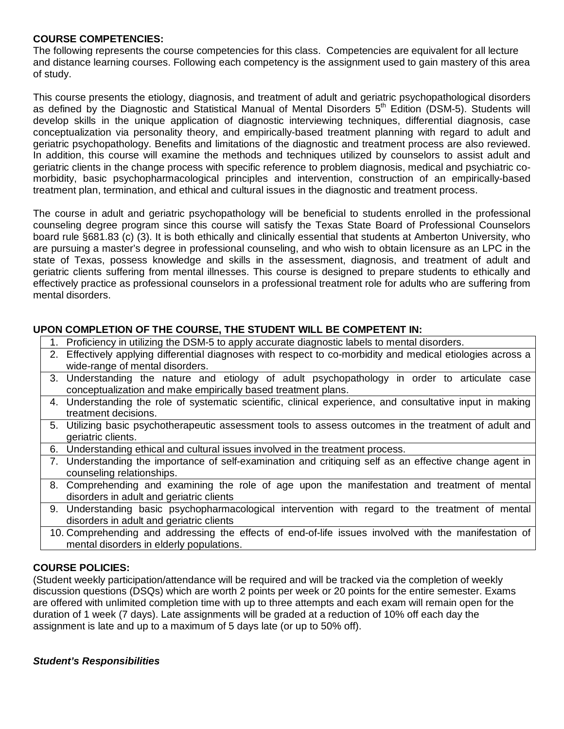### **COURSE COMPETENCIES:**

The following represents the course competencies for this class. Competencies are equivalent for all lecture and distance learning courses. Following each competency is the assignment used to gain mastery of this area of study.

This course presents the etiology, diagnosis, and treatment of adult and geriatric psychopathological disorders as defined by the Diagnostic and Statistical Manual of Mental Disorders 5<sup>th</sup> Edition (DSM-5). Students will develop skills in the unique application of diagnostic interviewing techniques, differential diagnosis, case conceptualization via personality theory, and empirically-based treatment planning with regard to adult and geriatric psychopathology. Benefits and limitations of the diagnostic and treatment process are also reviewed. In addition, this course will examine the methods and techniques utilized by counselors to assist adult and geriatric clients in the change process with specific reference to problem diagnosis, medical and psychiatric comorbidity, basic psychopharmacological principles and intervention, construction of an empirically-based treatment plan, termination, and ethical and cultural issues in the diagnostic and treatment process.

The course in adult and geriatric psychopathology will be beneficial to students enrolled in the professional counseling degree program since this course will satisfy the Texas State Board of Professional Counselors board rule §681.83 (c) (3). It is both ethically and clinically essential that students at Amberton University, who are pursuing a master's degree in professional counseling, and who wish to obtain licensure as an LPC in the state of Texas, possess knowledge and skills in the assessment, diagnosis, and treatment of adult and geriatric clients suffering from mental illnesses. This course is designed to prepare students to ethically and effectively practice as professional counselors in a professional treatment role for adults who are suffering from mental disorders.

## **UPON COMPLETION OF THE COURSE, THE STUDENT WILL BE COMPETENT IN:**

- 1. Proficiency in utilizing the DSM-5 to apply accurate diagnostic labels to mental disorders.
- 2. Effectively applying differential diagnoses with respect to co-morbidity and medical etiologies across a wide-range of mental disorders.
- 3. Understanding the nature and etiology of adult psychopathology in order to articulate case conceptualization and make empirically based treatment plans.
- 4. Understanding the role of systematic scientific, clinical experience, and consultative input in making treatment decisions.
- 5. Utilizing basic psychotherapeutic assessment tools to assess outcomes in the treatment of adult and geriatric clients.
- 6. Understanding ethical and cultural issues involved in the treatment process.
- 7. Understanding the importance of self-examination and critiquing self as an effective change agent in counseling relationships.
- 8. Comprehending and examining the role of age upon the manifestation and treatment of mental disorders in adult and geriatric clients
- 9. Understanding basic psychopharmacological intervention with regard to the treatment of mental disorders in adult and geriatric clients
- 10. Comprehending and addressing the effects of end-of-life issues involved with the manifestation of mental disorders in elderly populations.

## **COURSE POLICIES:**

(Student weekly participation/attendance will be required and will be tracked via the completion of weekly discussion questions (DSQs) which are worth 2 points per week or 20 points for the entire semester. Exams are offered with unlimited completion time with up to three attempts and each exam will remain open for the duration of 1 week (7 days). Late assignments will be graded at a reduction of 10% off each day the assignment is late and up to a maximum of 5 days late (or up to 50% off).

## *Student's Responsibilities*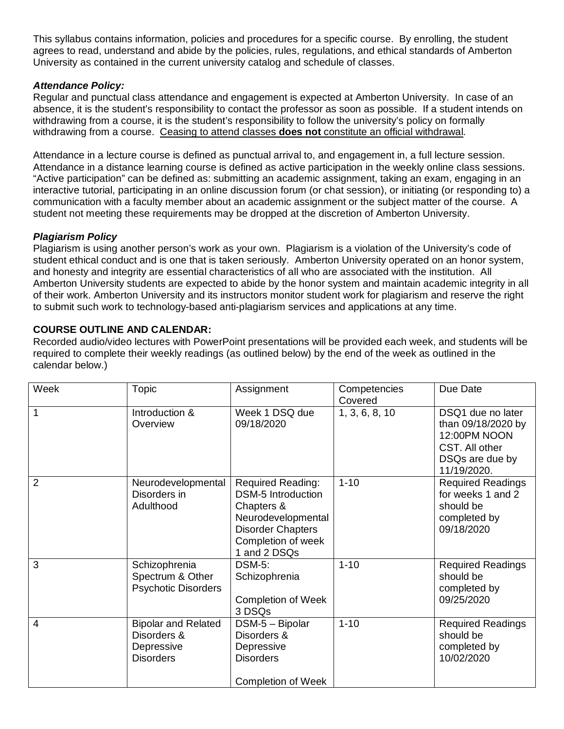This syllabus contains information, policies and procedures for a specific course. By enrolling, the student agrees to read, understand and abide by the policies, rules, regulations, and ethical standards of Amberton University as contained in the current university catalog and schedule of classes.

## *Attendance Policy:*

Regular and punctual class attendance and engagement is expected at Amberton University. In case of an absence, it is the student's responsibility to contact the professor as soon as possible. If a student intends on withdrawing from a course, it is the student's responsibility to follow the university's policy on formally withdrawing from a course. Ceasing to attend classes **does not** constitute an official withdrawal.

Attendance in a lecture course is defined as punctual arrival to, and engagement in, a full lecture session. Attendance in a distance learning course is defined as active participation in the weekly online class sessions. "Active participation" can be defined as: submitting an academic assignment, taking an exam, engaging in an interactive tutorial, participating in an online discussion forum (or chat session), or initiating (or responding to) a communication with a faculty member about an academic assignment or the subject matter of the course. A student not meeting these requirements may be dropped at the discretion of Amberton University.

## *Plagiarism Policy*

Plagiarism is using another person's work as your own. Plagiarism is a violation of the University's code of student ethical conduct and is one that is taken seriously. Amberton University operated on an honor system, and honesty and integrity are essential characteristics of all who are associated with the institution. All Amberton University students are expected to abide by the honor system and maintain academic integrity in all of their work. Amberton University and its instructors monitor student work for plagiarism and reserve the right to submit such work to technology-based anti-plagiarism services and applications at any time.

## **COURSE OUTLINE AND CALENDAR:**

Recorded audio/video lectures with PowerPoint presentations will be provided each week, and students will be required to complete their weekly readings (as outlined below) by the end of the week as outlined in the calendar below.)

| Week           | Topic                                                                       | Assignment                                                                                                                                           | Competencies<br>Covered | Due Date                                                                                                    |
|----------------|-----------------------------------------------------------------------------|------------------------------------------------------------------------------------------------------------------------------------------------------|-------------------------|-------------------------------------------------------------------------------------------------------------|
| 1              | Introduction &<br>Overview                                                  | Week 1 DSQ due<br>09/18/2020                                                                                                                         | 1, 3, 6, 8, 10          | DSQ1 due no later<br>than 09/18/2020 by<br>12:00PM NOON<br>CST. All other<br>DSQs are due by<br>11/19/2020. |
| $\overline{2}$ | Neurodevelopmental<br>Disorders in<br>Adulthood                             | Required Reading:<br><b>DSM-5 Introduction</b><br>Chapters &<br>Neurodevelopmental<br><b>Disorder Chapters</b><br>Completion of week<br>1 and 2 DSQs | $1 - 10$                | <b>Required Readings</b><br>for weeks 1 and 2<br>should be<br>completed by<br>09/18/2020                    |
| 3              | Schizophrenia<br>Spectrum & Other<br><b>Psychotic Disorders</b>             | <b>DSM-5:</b><br>Schizophrenia<br><b>Completion of Week</b><br>3 DSQs                                                                                | $1 - 10$                | <b>Required Readings</b><br>should be<br>completed by<br>09/25/2020                                         |
| 4              | <b>Bipolar and Related</b><br>Disorders &<br>Depressive<br><b>Disorders</b> | DSM-5 - Bipolar<br>Disorders &<br>Depressive<br><b>Disorders</b><br><b>Completion of Week</b>                                                        | $1 - 10$                | <b>Required Readings</b><br>should be<br>completed by<br>10/02/2020                                         |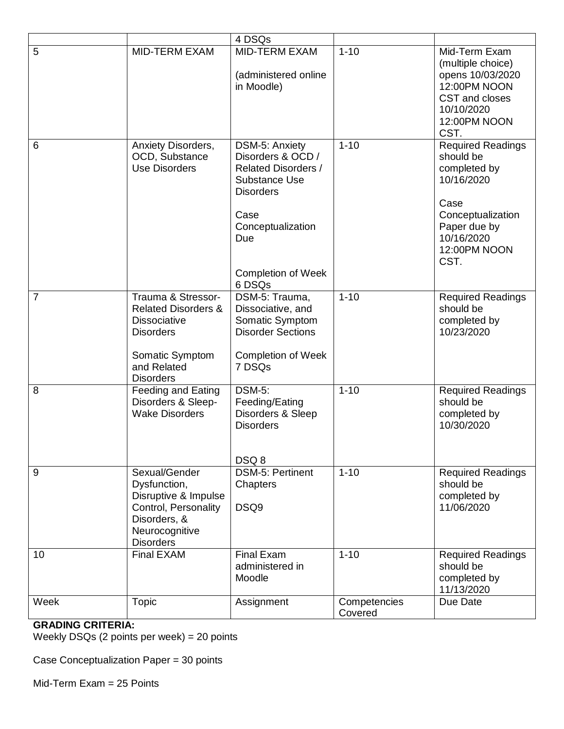|                |                                                                                                                                                       | 4 DSQs                                                                                                                                                                                   |                         |                                                                                                                                                        |
|----------------|-------------------------------------------------------------------------------------------------------------------------------------------------------|------------------------------------------------------------------------------------------------------------------------------------------------------------------------------------------|-------------------------|--------------------------------------------------------------------------------------------------------------------------------------------------------|
| 5              | <b>MID-TERM EXAM</b>                                                                                                                                  | <b>MID-TERM EXAM</b><br>(administered online<br>in Moodle)                                                                                                                               | $1 - 10$                | Mid-Term Exam<br>(multiple choice)<br>opens 10/03/2020<br>12:00PM NOON<br>CST and closes<br>10/10/2020<br>12:00PM NOON<br>CST.                         |
| 6              | Anxiety Disorders,<br>OCD, Substance<br><b>Use Disorders</b>                                                                                          | DSM-5: Anxiety<br>Disorders & OCD /<br><b>Related Disorders /</b><br><b>Substance Use</b><br><b>Disorders</b><br>Case<br>Conceptualization<br>Due<br><b>Completion of Week</b><br>6 DSQs | $1 - 10$                | <b>Required Readings</b><br>should be<br>completed by<br>10/16/2020<br>Case<br>Conceptualization<br>Paper due by<br>10/16/2020<br>12:00PM NOON<br>CST. |
| $\overline{7}$ | Trauma & Stressor-<br><b>Related Disorders &amp;</b><br><b>Dissociative</b><br><b>Disorders</b><br>Somatic Symptom<br>and Related<br><b>Disorders</b> | DSM-5: Trauma,<br>Dissociative, and<br>Somatic Symptom<br><b>Disorder Sections</b><br><b>Completion of Week</b><br>7 DSQs                                                                | $1 - 10$                | <b>Required Readings</b><br>should be<br>completed by<br>10/23/2020                                                                                    |
| 8              | Feeding and Eating<br>Disorders & Sleep-<br><b>Wake Disorders</b>                                                                                     | <b>DSM-5:</b><br>Feeding/Eating<br>Disorders & Sleep<br><b>Disorders</b><br>DSQ8                                                                                                         | $1 - 10$                | <b>Required Readings</b><br>should be<br>completed by<br>10/30/2020                                                                                    |
| 9              | Sexual/Gender<br>Dysfunction,<br>Disruptive & Impulse<br>Control, Personality<br>Disorders, &<br>Neurocognitive<br><b>Disorders</b>                   | <b>DSM-5: Pertinent</b><br>Chapters<br>DSQ9                                                                                                                                              | $1 - 10$                | <b>Required Readings</b><br>should be<br>completed by<br>11/06/2020                                                                                    |
| 10             | Final EXAM                                                                                                                                            | <b>Final Exam</b><br>administered in<br>Moodle                                                                                                                                           | $1 - 10$                | <b>Required Readings</b><br>should be<br>completed by<br>11/13/2020                                                                                    |
| Week           | <b>Topic</b>                                                                                                                                          | Assignment                                                                                                                                                                               | Competencies<br>Covered | Due Date                                                                                                                                               |

# **GRADING CRITERIA:**

Weekly DSQs (2 points per week) = 20 points

Case Conceptualization Paper = 30 points

Mid-Term Exam = 25 Points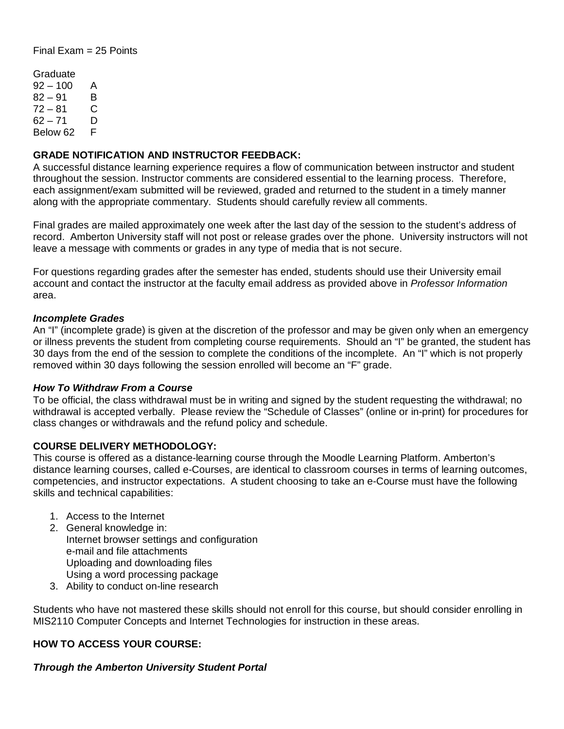Final Exam = 25 Points

Graduate  $92 - 100$  A  $82 - 91$  B  $72 - 81$  C  $62 - 71$  D Below 62 F

## **GRADE NOTIFICATION AND INSTRUCTOR FEEDBACK:**

A successful distance learning experience requires a flow of communication between instructor and student throughout the session. Instructor comments are considered essential to the learning process. Therefore, each assignment/exam submitted will be reviewed, graded and returned to the student in a timely manner along with the appropriate commentary. Students should carefully review all comments.

Final grades are mailed approximately one week after the last day of the session to the student's address of record. Amberton University staff will not post or release grades over the phone. University instructors will not leave a message with comments or grades in any type of media that is not secure.

For questions regarding grades after the semester has ended, students should use their University email account and contact the instructor at the faculty email address as provided above in *Professor Information* area.

#### *Incomplete Grades*

An "I" (incomplete grade) is given at the discretion of the professor and may be given only when an emergency or illness prevents the student from completing course requirements. Should an "I" be granted, the student has 30 days from the end of the session to complete the conditions of the incomplete. An "I" which is not properly removed within 30 days following the session enrolled will become an "F" grade.

#### *How To Withdraw From a Course*

To be official, the class withdrawal must be in writing and signed by the student requesting the withdrawal; no withdrawal is accepted verbally. Please review the "Schedule of Classes" (online or in-print) for procedures for class changes or withdrawals and the refund policy and schedule.

## **COURSE DELIVERY METHODOLOGY:**

This course is offered as a distance-learning course through the Moodle Learning Platform. Amberton's distance learning courses, called e-Courses, are identical to classroom courses in terms of learning outcomes, competencies, and instructor expectations. A student choosing to take an e-Course must have the following skills and technical capabilities:

- 1. Access to the Internet
- 2. General knowledge in: Internet browser settings and configuration e-mail and file attachments Uploading and downloading files Using a word processing package
- 3. Ability to conduct on-line research

Students who have not mastered these skills should not enroll for this course, but should consider enrolling in MIS2110 Computer Concepts and Internet Technologies for instruction in these areas.

## **HOW TO ACCESS YOUR COURSE:**

# *Through the Amberton University Student Portal*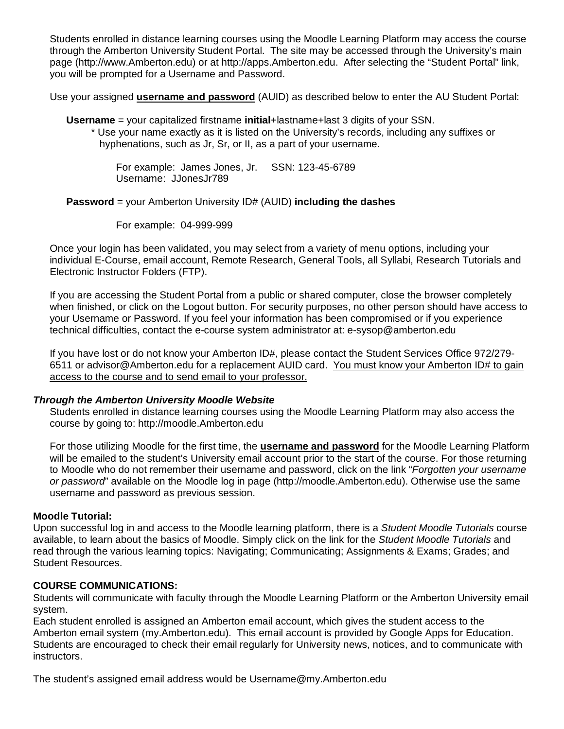Students enrolled in distance learning courses using the Moodle Learning Platform may access the course through the Amberton University Student Portal. The site may be accessed through the University's main page (http://www.Amberton.edu) or at http://apps.Amberton.edu. After selecting the "Student Portal" link, you will be prompted for a Username and Password.

Use your assigned **username and password** (AUID) as described below to enter the AU Student Portal:

**Username** = your capitalized firstname **initial**+lastname+last 3 digits of your SSN.

\* Use your name exactly as it is listed on the University's records, including any suffixes or hyphenations, such as Jr, Sr, or II, as a part of your username.

For example: James Jones, Jr. SSN: 123-45-6789 Username: JJonesJr789

**Password** = your Amberton University ID# (AUID) **including the dashes**

For example: 04-999-999

Once your login has been validated, you may select from a variety of menu options, including your individual E-Course, email account, Remote Research, General Tools, all Syllabi, Research Tutorials and Electronic Instructor Folders (FTP).

If you are accessing the Student Portal from a public or shared computer, close the browser completely when finished, or click on the Logout button. For security purposes, no other person should have access to your Username or Password. If you feel your information has been compromised or if you experience technical difficulties, contact the e-course system administrator at: e-sysop@amberton.edu

If you have lost or do not know your Amberton ID#, please contact the Student Services Office 972/279-6511 or advisor@Amberton.edu for a replacement AUID card. You must know your Amberton ID# to gain access to the course and to send email to your professor.

## *Through the Amberton University Moodle Website*

Students enrolled in distance learning courses using the Moodle Learning Platform may also access the course by going to: http://moodle.Amberton.edu

For those utilizing Moodle for the first time, the **username and password** for the Moodle Learning Platform will be emailed to the student's University email account prior to the start of the course. For those returning to Moodle who do not remember their username and password, click on the link "*Forgotten your username or password*" available on the Moodle log in page (http://moodle.Amberton.edu). Otherwise use the same username and password as previous session.

## **Moodle Tutorial:**

Upon successful log in and access to the Moodle learning platform, there is a *Student Moodle Tutorials* course available, to learn about the basics of Moodle. Simply click on the link for the *Student Moodle Tutorials* and read through the various learning topics: Navigating; Communicating; Assignments & Exams; Grades; and Student Resources.

## **COURSE COMMUNICATIONS:**

Students will communicate with faculty through the Moodle Learning Platform or the Amberton University email system.

Each student enrolled is assigned an Amberton email account, which gives the student access to the Amberton email system (my.Amberton.edu). This email account is provided by Google Apps for Education. Students are encouraged to check their email regularly for University news, notices, and to communicate with instructors.

The student's assigned email address would be Username@my.Amberton.edu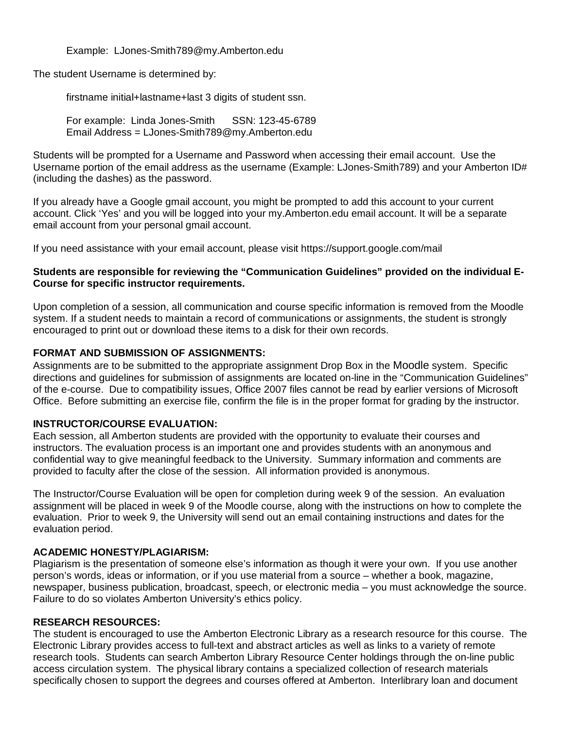Example: LJones-Smith789@my.Amberton.edu

The student Username is determined by:

firstname initial+lastname+last 3 digits of student ssn.

For example: Linda Jones-Smith SSN: 123-45-6789 Email Address = LJones-Smith789@my.Amberton.edu

Students will be prompted for a Username and Password when accessing their email account. Use the Username portion of the email address as the username (Example: LJones-Smith789) and your Amberton ID# (including the dashes) as the password.

If you already have a Google gmail account, you might be prompted to add this account to your current account. Click 'Yes' and you will be logged into your my.Amberton.edu email account. It will be a separate email account from your personal gmail account.

If you need assistance with your email account, please visit https://support.google.com/mail

## **Students are responsible for reviewing the "Communication Guidelines" provided on the individual E-Course for specific instructor requirements.**

Upon completion of a session, all communication and course specific information is removed from the Moodle system. If a student needs to maintain a record of communications or assignments, the student is strongly encouraged to print out or download these items to a disk for their own records.

## **FORMAT AND SUBMISSION OF ASSIGNMENTS:**

Assignments are to be submitted to the appropriate assignment Drop Box in the Moodle system. Specific directions and guidelines for submission of assignments are located on-line in the "Communication Guidelines" of the e-course. Due to compatibility issues, Office 2007 files cannot be read by earlier versions of Microsoft Office. Before submitting an exercise file, confirm the file is in the proper format for grading by the instructor.

## **INSTRUCTOR/COURSE EVALUATION:**

Each session, all Amberton students are provided with the opportunity to evaluate their courses and instructors. The evaluation process is an important one and provides students with an anonymous and confidential way to give meaningful feedback to the University. Summary information and comments are provided to faculty after the close of the session. All information provided is anonymous.

The Instructor/Course Evaluation will be open for completion during week 9 of the session. An evaluation assignment will be placed in week 9 of the Moodle course, along with the instructions on how to complete the evaluation. Prior to week 9, the University will send out an email containing instructions and dates for the evaluation period.

## **ACADEMIC HONESTY/PLAGIARISM:**

Plagiarism is the presentation of someone else's information as though it were your own. If you use another person's words, ideas or information, or if you use material from a source – whether a book, magazine, newspaper, business publication, broadcast, speech, or electronic media – you must acknowledge the source. Failure to do so violates Amberton University's ethics policy.

## **RESEARCH RESOURCES:**

The student is encouraged to use the Amberton Electronic Library as a research resource for this course. The Electronic Library provides access to full-text and abstract articles as well as links to a variety of remote research tools. Students can search Amberton Library Resource Center holdings through the on-line public access circulation system. The physical library contains a specialized collection of research materials specifically chosen to support the degrees and courses offered at Amberton. Interlibrary loan and document